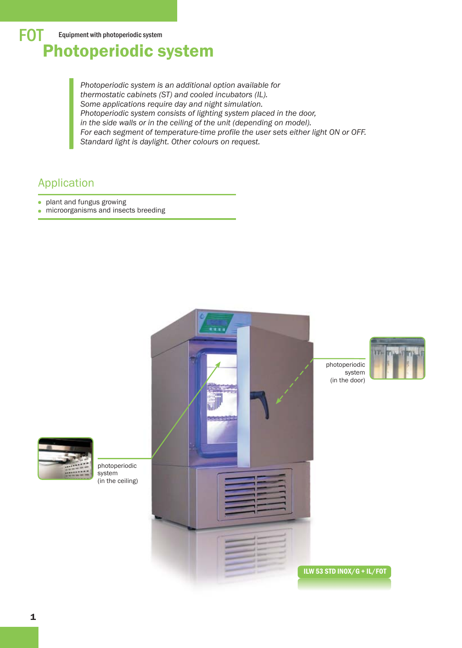*Photoperiodic system is an additional option available for thermostatic cabinets (ST) and cooled incubators (IL). Some applications require day and night simulation. Photoperiodic system consists of lighting system placed in the door, in the side walls or in the ceiling of the unit (depending on model). For each segment of temperature-time profile the user sets either light ON or OFF. Standard light is daylight. Other colours on request.*

# Application

- plant and fungus growing  $\bullet$
- $\bullet$  microorganisms and insects breeding

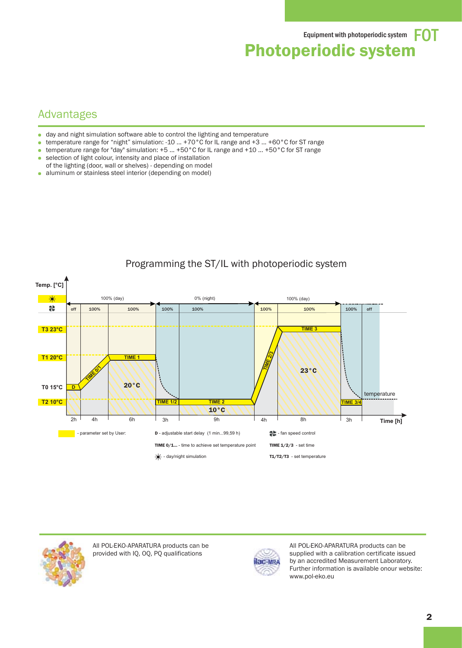## Advantages

- day and night simulation software able to control the lighting and temperature ä.
- temperature range for "night" simulation: -10 ... +70°C for IL range and +3 ... +60°C for ST range
- temperature range for "day" simulation: +5 ... +50°C for IL range and +10 ... +50°C for ST range  $\blacksquare$
- selection of light colour, intensity and place of installation  $\bullet$
- of the lighting (door, wall or shelves) depending on model
- aluminum or stainless steel interior (depending on model)  $\bullet$



### Programming the ST/IL with photoperiodic system



All POL-EKO-APARATURA products can be provided with IQ, OQ, PQ qualifications



All POL-EKO-APARATURA products can be supplied with a calibration certificate issued by an accredited Measurement Laboratory. Further information is available onour website: www.pol-eko.eu